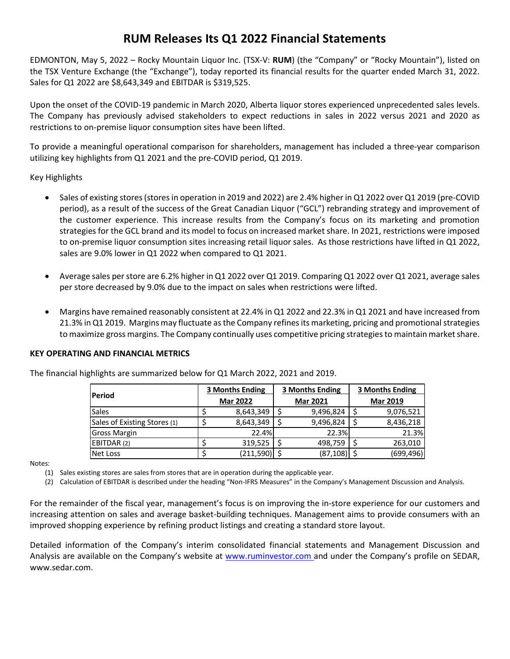## **RUM Releases Its Q1 2022 Financial Statements**

EDMONTON, May 5, 2022 – Rocky Mountain Liquor Inc. (TSX-V: **RUM**) (the "Company" or "Rocky Mountain"), listed on the TSX Venture Exchange (the "Exchange"), today reported its financial results for the quarter ended March 31, 2022. Sales for Q1 2022 are \$8,643,349 and EBITDAR is \$319,525.

Upon the onset of the COVID-19 pandemic in March 2020, Alberta liquor stores experienced unprecedented sales levels. The Company has previously advised stakeholders to expect reductions in sales in 2022 versus 2021 and 2020 as restrictions to on-premise liquor consumption sites have been lifted.

To provide a meaningful operational comparison for shareholders, management has included a three-year comparison utilizing key highlights from Q1 2021 and the pre-COVID period, Q1 2019.

Key Highlights

- Sales of existing stores (stores in operation in 2019 and 2022) are 2.4% higher in Q1 2022 over Q1 2019 (pre-COVID period), as a result of the success of the Great Canadian Liquor ("GCL") rebranding strategy and improvement of the customer experience. This increase results from the Company's focus on its marketing and promotion strategies for the GCL brand and its model to focus on increased market share. In 2021, restrictions were imposed to on-premise liquor consumption sites increasing retail liquor sales. As those restrictions have lifted in Q1 2022, sales are 9.0% lower in Q1 2022 when compared to Q1 2021.
- Average sales per store are 6.2% higher in Q1 2022 over Q1 2019. Comparing Q1 2022 over Q1 2021, average sales per store decreased by 9.0% due to the impact on sales when restrictions were lifted.
- Margins have remained reasonably consistent at 22.4% in Q1 2022 and 22.3% in Q1 2021 and have increased from 21.3% in Q1 2019. Margins may fluctuate as the Company refines its marketing, pricing and promotional strategies to maximize gross margins. The Company continually uses competitive pricing strategies to maintain market share.

## **KEY OPERATING AND FINANCIAL METRICS**

| Period                       | <b>3 Months Ending</b> |                 | <b>3 Months Ending</b> |                 | 3 Months Ending |                 |
|------------------------------|------------------------|-----------------|------------------------|-----------------|-----------------|-----------------|
|                              |                        | <b>Mar 2022</b> |                        | <b>Mar 2021</b> |                 | <b>Mar 2019</b> |
| <b>Sales</b>                 |                        | 8,643,349       |                        | 9,496,824       |                 | 9,076,521       |
| Sales of Existing Stores (1) |                        | 8,643,349       |                        | 9,496,824       |                 | 8,436,218       |
| <b>Gross Margin</b>          |                        | 22.4%           |                        | 22.3%           |                 | 21.3%           |
| EBITDAR (2)                  |                        | 319,525         |                        | 498,759         |                 | 263,010         |
| Net Loss                     |                        | (211,590)       |                        | (87, 108)       |                 | (699,496)       |

The financial highlights are summarized below for Q1 March 2022, 2021 and 2019.

Notes:

(1) Sales existing stores are sales from stores that are in operation during the applicable year.

(2) Calculation of EBITDAR is described under the heading "Non-IFRS Measures" in the Company's Management Discussion and Analysis.

For the remainder of the fiscal year, management's focus is on improving the in-store experience for our customers and increasing attention on sales and average basket-building techniques. Management aims to provide consumers with an improved shopping experience by refining product listings and creating a standard store layout.

Detailed information of the Company's interim consolidated financial statements and Management Discussion and Analysis are available on the Company's website at [www.ruminvestor.com](http://www.ruminvestor.com/) and under the Company's profile on SEDAR, www.sedar.com.